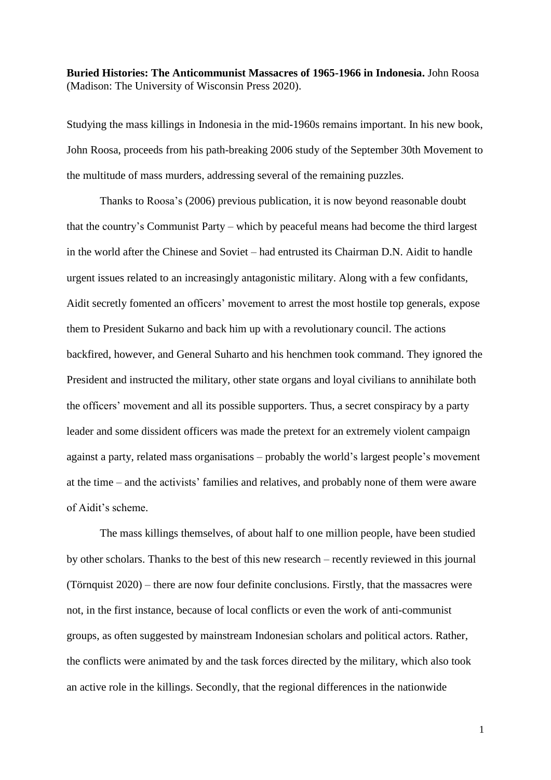**Buried Histories: The Anticommunist Massacres of 1965-1966 in Indonesia.** John Roosa (Madison: The University of Wisconsin Press 2020).

Studying the mass killings in Indonesia in the mid-1960s remains important. In his new book, John Roosa, proceeds from his path-breaking 2006 study of the September 30th Movement to the multitude of mass murders, addressing several of the remaining puzzles.

Thanks to Roosa's (2006) previous publication, it is now beyond reasonable doubt that the country's Communist Party – which by peaceful means had become the third largest in the world after the Chinese and Soviet – had entrusted its Chairman D.N. Aidit to handle urgent issues related to an increasingly antagonistic military. Along with a few confidants, Aidit secretly fomented an officers' movement to arrest the most hostile top generals, expose them to President Sukarno and back him up with a revolutionary council. The actions backfired, however, and General Suharto and his henchmen took command. They ignored the President and instructed the military, other state organs and loyal civilians to annihilate both the officers' movement and all its possible supporters. Thus, a secret conspiracy by a party leader and some dissident officers was made the pretext for an extremely violent campaign against a party, related mass organisations – probably the world's largest people's movement at the time – and the activists' families and relatives, and probably none of them were aware of Aidit's scheme.

The mass killings themselves, of about half to one million people, have been studied by other scholars. Thanks to the best of this new research – recently reviewed in this journal (Törnquist 2020) – there are now four definite conclusions. Firstly, that the massacres were not, in the first instance, because of local conflicts or even the work of anti-communist groups, as often suggested by mainstream Indonesian scholars and political actors. Rather, the conflicts were animated by and the task forces directed by the military, which also took an active role in the killings. Secondly, that the regional differences in the nationwide

1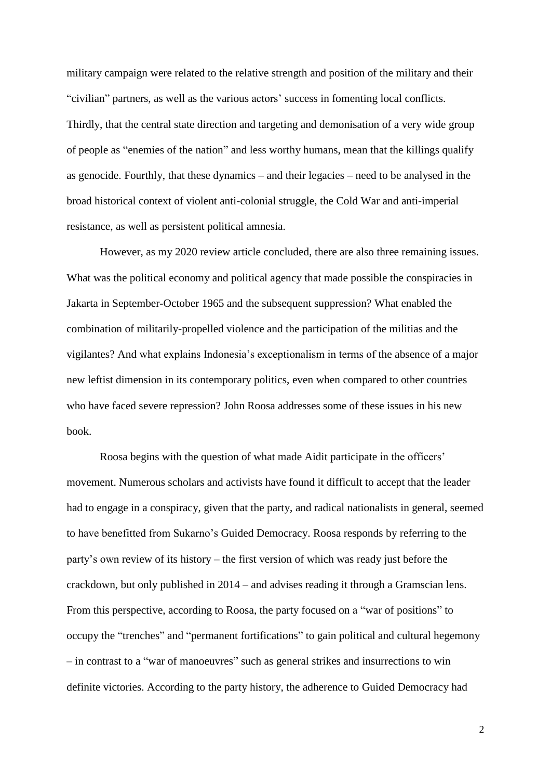military campaign were related to the relative strength and position of the military and their "civilian" partners, as well as the various actors' success in fomenting local conflicts. Thirdly, that the central state direction and targeting and demonisation of a very wide group of people as "enemies of the nation" and less worthy humans, mean that the killings qualify as genocide. Fourthly, that these dynamics – and their legacies – need to be analysed in the broad historical context of violent anti-colonial struggle, the Cold War and anti-imperial resistance, as well as persistent political amnesia.

However, as my 2020 review article concluded, there are also three remaining issues. What was the political economy and political agency that made possible the conspiracies in Jakarta in September-October 1965 and the subsequent suppression? What enabled the combination of militarily-propelled violence and the participation of the militias and the vigilantes? And what explains Indonesia's exceptionalism in terms of the absence of a major new leftist dimension in its contemporary politics, even when compared to other countries who have faced severe repression? John Roosa addresses some of these issues in his new book.

Roosa begins with the question of what made Aidit participate in the officers' movement. Numerous scholars and activists have found it difficult to accept that the leader had to engage in a conspiracy, given that the party, and radical nationalists in general, seemed to have benefitted from Sukarno's Guided Democracy. Roosa responds by referring to the party's own review of its history – the first version of which was ready just before the crackdown, but only published in 2014 – and advises reading it through a Gramscian lens. From this perspective, according to Roosa, the party focused on a "war of positions" to occupy the "trenches" and "permanent fortifications" to gain political and cultural hegemony – in contrast to a "war of manoeuvres" such as general strikes and insurrections to win definite victories. According to the party history, the adherence to Guided Democracy had

2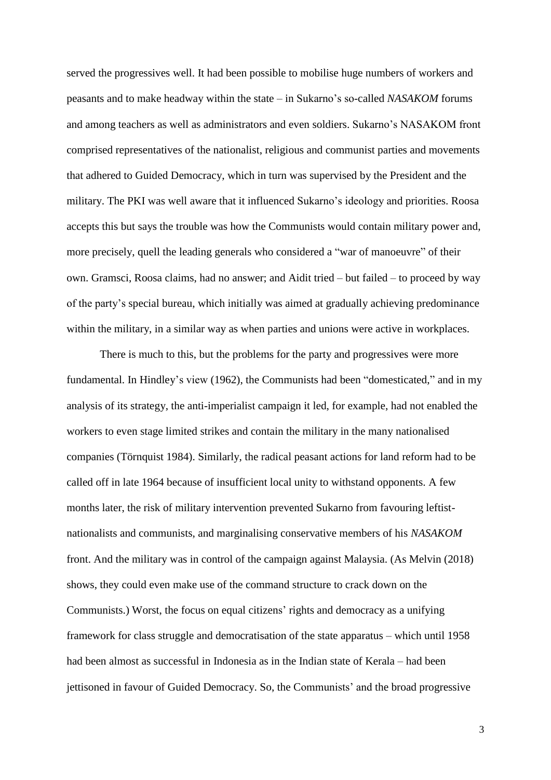served the progressives well. It had been possible to mobilise huge numbers of workers and peasants and to make headway within the state – in Sukarno's so-called *NASAKOM* forums and among teachers as well as administrators and even soldiers. Sukarno's NASAKOM front comprised representatives of the nationalist, religious and communist parties and movements that adhered to Guided Democracy, which in turn was supervised by the President and the military. The PKI was well aware that it influenced Sukarno's ideology and priorities. Roosa accepts this but says the trouble was how the Communists would contain military power and, more precisely, quell the leading generals who considered a "war of manoeuvre" of their own. Gramsci, Roosa claims, had no answer; and Aidit tried – but failed – to proceed by way of the party's special bureau, which initially was aimed at gradually achieving predominance within the military, in a similar way as when parties and unions were active in workplaces.

There is much to this, but the problems for the party and progressives were more fundamental. In Hindley's view (1962), the Communists had been "domesticated," and in my analysis of its strategy, the anti-imperialist campaign it led, for example, had not enabled the workers to even stage limited strikes and contain the military in the many nationalised companies (Törnquist 1984). Similarly, the radical peasant actions for land reform had to be called off in late 1964 because of insufficient local unity to withstand opponents. A few months later, the risk of military intervention prevented Sukarno from favouring leftistnationalists and communists, and marginalising conservative members of his *NASAKOM* front. And the military was in control of the campaign against Malaysia. (As Melvin (2018) shows, they could even make use of the command structure to crack down on the Communists.) Worst, the focus on equal citizens' rights and democracy as a unifying framework for class struggle and democratisation of the state apparatus – which until 1958 had been almost as successful in Indonesia as in the Indian state of Kerala – had been jettisoned in favour of Guided Democracy. So, the Communists' and the broad progressive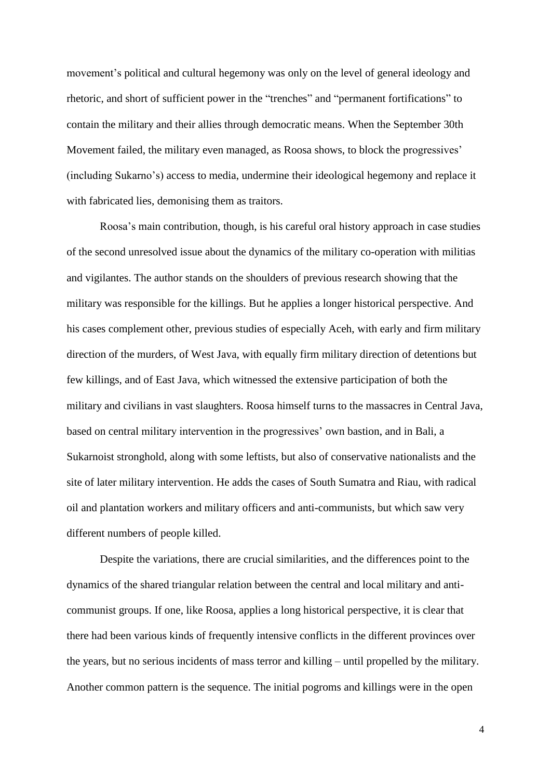movement's political and cultural hegemony was only on the level of general ideology and rhetoric, and short of sufficient power in the "trenches" and "permanent fortifications" to contain the military and their allies through democratic means. When the September 30th Movement failed, the military even managed, as Roosa shows, to block the progressives' (including Sukarno's) access to media, undermine their ideological hegemony and replace it with fabricated lies, demonising them as traitors.

Roosa's main contribution, though, is his careful oral history approach in case studies of the second unresolved issue about the dynamics of the military co-operation with militias and vigilantes. The author stands on the shoulders of previous research showing that the military was responsible for the killings. But he applies a longer historical perspective. And his cases complement other, previous studies of especially Aceh, with early and firm military direction of the murders, of West Java, with equally firm military direction of detentions but few killings, and of East Java, which witnessed the extensive participation of both the military and civilians in vast slaughters. Roosa himself turns to the massacres in Central Java, based on central military intervention in the progressives' own bastion, and in Bali, a Sukarnoist stronghold, along with some leftists, but also of conservative nationalists and the site of later military intervention. He adds the cases of South Sumatra and Riau, with radical oil and plantation workers and military officers and anti-communists, but which saw very different numbers of people killed.

Despite the variations, there are crucial similarities, and the differences point to the dynamics of the shared triangular relation between the central and local military and anticommunist groups. If one, like Roosa, applies a long historical perspective, it is clear that there had been various kinds of frequently intensive conflicts in the different provinces over the years, but no serious incidents of mass terror and killing – until propelled by the military. Another common pattern is the sequence. The initial pogroms and killings were in the open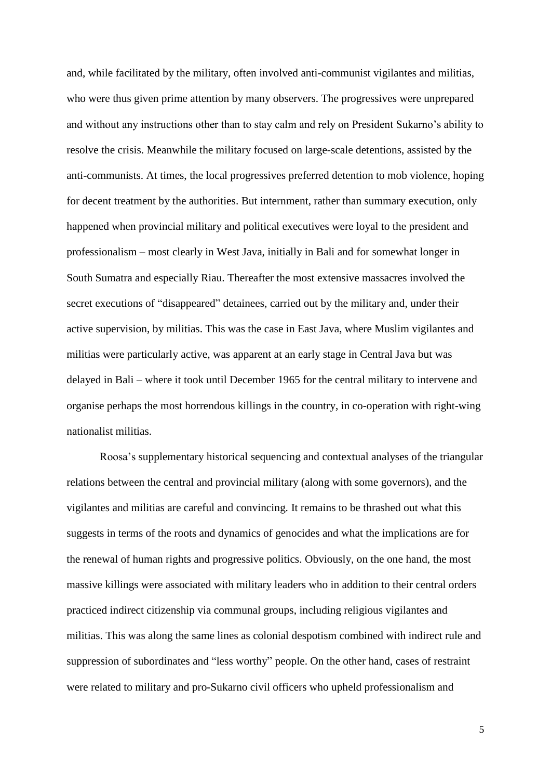and, while facilitated by the military, often involved anti-communist vigilantes and militias, who were thus given prime attention by many observers. The progressives were unprepared and without any instructions other than to stay calm and rely on President Sukarno's ability to resolve the crisis. Meanwhile the military focused on large-scale detentions, assisted by the anti-communists. At times, the local progressives preferred detention to mob violence, hoping for decent treatment by the authorities. But internment, rather than summary execution, only happened when provincial military and political executives were loyal to the president and professionalism – most clearly in West Java, initially in Bali and for somewhat longer in South Sumatra and especially Riau. Thereafter the most extensive massacres involved the secret executions of "disappeared" detainees, carried out by the military and, under their active supervision, by militias. This was the case in East Java, where Muslim vigilantes and militias were particularly active, was apparent at an early stage in Central Java but was delayed in Bali – where it took until December 1965 for the central military to intervene and organise perhaps the most horrendous killings in the country, in co-operation with right-wing nationalist militias.

Roosa's supplementary historical sequencing and contextual analyses of the triangular relations between the central and provincial military (along with some governors), and the vigilantes and militias are careful and convincing. It remains to be thrashed out what this suggests in terms of the roots and dynamics of genocides and what the implications are for the renewal of human rights and progressive politics. Obviously, on the one hand, the most massive killings were associated with military leaders who in addition to their central orders practiced indirect citizenship via communal groups, including religious vigilantes and militias. This was along the same lines as colonial despotism combined with indirect rule and suppression of subordinates and "less worthy" people. On the other hand, cases of restraint were related to military and pro-Sukarno civil officers who upheld professionalism and

5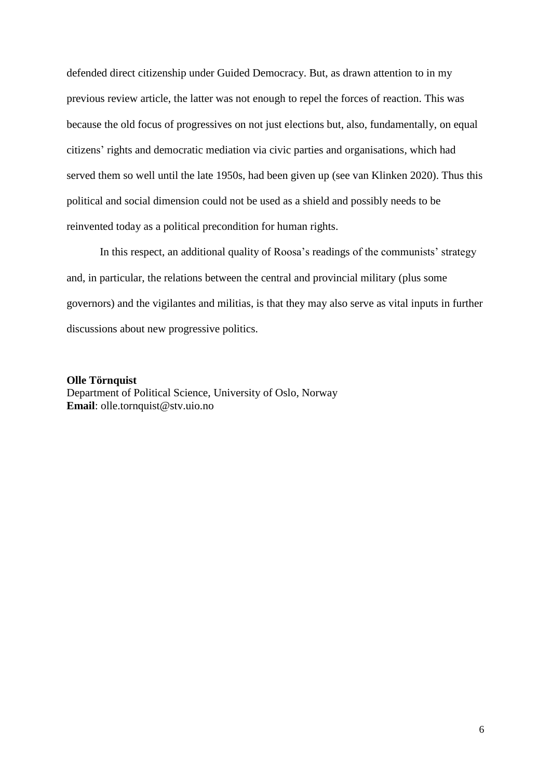defended direct citizenship under Guided Democracy. But, as drawn attention to in my previous review article, the latter was not enough to repel the forces of reaction. This was because the old focus of progressives on not just elections but, also, fundamentally, on equal citizens' rights and democratic mediation via civic parties and organisations, which had served them so well until the late 1950s, had been given up (see van Klinken 2020). Thus this political and social dimension could not be used as a shield and possibly needs to be reinvented today as a political precondition for human rights.

In this respect, an additional quality of Roosa's readings of the communists' strategy and, in particular, the relations between the central and provincial military (plus some governors) and the vigilantes and militias, is that they may also serve as vital inputs in further discussions about new progressive politics.

## **Olle Törnquist**

Department of Political Science, University of Oslo, Norway **Email**: olle.tornquist@stv.uio.no